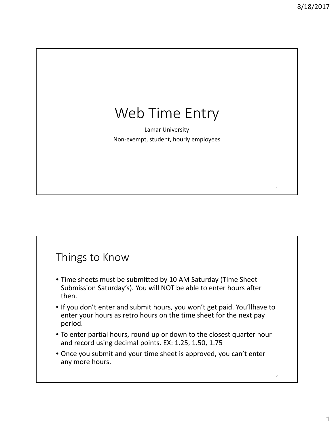1

2

## Web Time Entry

Lamar University Non‐ xempt, tudent, ourly employees

## Things to Know

- Time sheets must be submitted by 1 (Time Sheet Submission O SALZZ (Nou will NOT be able to enter hours after then.
- If you do not enter and submit hours, you will not get paid. You will have to enter your hours as retro hours on the time sheet for the next pay period.
- To enter partial hours, round up or down to the closest quarter hour and record using decimal points. EX: 1.25, 1.50, 1.75
- Once you submit, and your time sheet is approved, you cannot enter any more hours.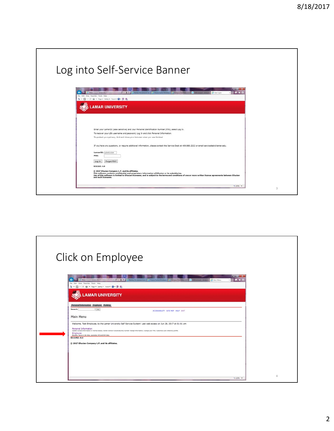| Log into Self-Service Banner                                                                                                                                                                                                                                                                                                                                                                                                                                                                                                                                                                                                                                                                                                                               |  |
|------------------------------------------------------------------------------------------------------------------------------------------------------------------------------------------------------------------------------------------------------------------------------------------------------------------------------------------------------------------------------------------------------------------------------------------------------------------------------------------------------------------------------------------------------------------------------------------------------------------------------------------------------------------------------------------------------------------------------------------------------------|--|
| $\frac{1}{2} \left( \frac{1}{2} \right) \left( \frac{1}{2} \right) \left( \frac{1}{2} \right) \left( \frac{1}{2} \right) \left( \frac{1}{2} \right) \left( \frac{1}{2} \right) \left( \frac{1}{2} \right) \left( \frac{1}{2} \right) \left( \frac{1}{2} \right) \left( \frac{1}{2} \right) \left( \frac{1}{2} \right) \left( \frac{1}{2} \right) \left( \frac{1}{2} \right) \left( \frac{1}{2} \right) \left( \frac{1}{2} \right) \left( \frac{1}{2} \right) \left( \frac$<br>$G = G$<br><b>Max / Group Jamar eduction</b><br>Barner Tri-campus Litt.   C Drack Fusion Muldieu,   C Campus Directory<br>$n \star o$<br>O (500 arrest) - diretyr<br><b>D</b> User Login<br>File Edit View Favorites Tools Help<br>Q - © - 2 曲 - Page - Safety - Tools ● 9 回 |  |
| <b>AMAR UNIVERSITY</b>                                                                                                                                                                                                                                                                                                                                                                                                                                                                                                                                                                                                                                                                                                                                     |  |
| Enter your LamarID (case sensitive) and your Personal Identification Number (PIN), select Log In.<br>To recover your LEA username and password, Log In and click Personal Information.                                                                                                                                                                                                                                                                                                                                                                                                                                                                                                                                                                     |  |
| To protect your privacy, Exit and close your browser when you are finished.<br>If you have any questions, or require additional information, please contact the Service Desk at 409.880.2222 or email servicedeskiBlamar.edu.<br>LamarID: L20451934                                                                                                                                                                                                                                                                                                                                                                                                                                                                                                        |  |
| PIN:<br>Forgot PIN?<br>Log In<br>RELEASE: 8.8                                                                                                                                                                                                                                                                                                                                                                                                                                                                                                                                                                                                                                                                                                              |  |
| © 2017 Ellucian Company L.P. and its affiliates.<br>This software contains confidential and proprietary information of Ellucian or its subsidiaries.<br>Use of this software is limited to Ellucian licensees, and is subject to the terms and conditions of one or more written license agreements between Ellucian<br>and such licensees.                                                                                                                                                                                                                                                                                                                                                                                                                |  |

|                                                                                           |                                                                                                                                                            | $-10-1$                                              |
|-------------------------------------------------------------------------------------------|------------------------------------------------------------------------------------------------------------------------------------------------------------|------------------------------------------------------|
| https://schiller.lamar.edu?<br>File Edit View Favorites Tools Help                        | <b>OB-Quantition</b><br>Banner Tri-campus Lin.   C   Oracle Fusion Mustew.   C   Campus Directory                                                          | O 200 unrealt - children. O Main Menu<br>$A \star 0$ |
| 全 · 図 · 三 ※ · Page · Safety · Tools · ● 里 图                                               |                                                                                                                                                            |                                                      |
| <b>LAMAR UNIVERSITY</b>                                                                   |                                                                                                                                                            |                                                      |
| Personal Information Employee Parking                                                     |                                                                                                                                                            |                                                      |
| <b>Search</b><br>$-60.$                                                                   | ACCESSIBILITY SITE MAP HELP EXIT                                                                                                                           |                                                      |
| Main Menu                                                                                 |                                                                                                                                                            |                                                      |
|                                                                                           | Welcome, Test Employee, to the Lamar University Self Service System! Last web access on Jun 28, 2017 at 01:01 pm                                           |                                                      |
| Personal Information                                                                      | Update contact information or marital status; raview name or social security number change information; Change your PDU, Customize your directory profile. |                                                      |
| Employee<br>Benefits, leave or job data, paystubs, W2 and W4 data.<br><b>RELEASE: 8.8</b> |                                                                                                                                                            |                                                      |
| © 2017 Ellucian Company L.P. and its affiliates.                                          |                                                                                                                                                            |                                                      |
|                                                                                           |                                                                                                                                                            |                                                      |
|                                                                                           |                                                                                                                                                            |                                                      |
|                                                                                           |                                                                                                                                                            |                                                      |
|                                                                                           |                                                                                                                                                            |                                                      |
|                                                                                           |                                                                                                                                                            |                                                      |
|                                                                                           |                                                                                                                                                            |                                                      |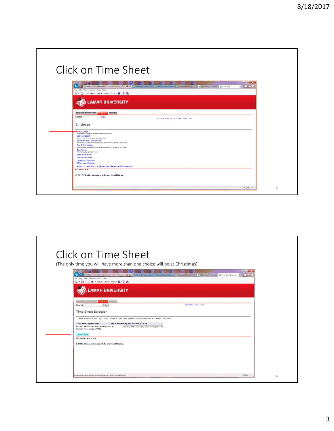| Click on Time Sheet                                                                                                                                                                    |
|----------------------------------------------------------------------------------------------------------------------------------------------------------------------------------------|
|                                                                                                                                                                                        |
| <b>COLORADO</b>                                                                                                                                                                        |
| $\mathbf{h} \star \mathbf{0}$<br>https://abov.tanaxadu1010/bppl/hebrats Q + B C C Basner Tri-camput LHL C Oucle Fusion Middles. C Camput Directory<br>Cidé unread - dintyro C Employee |
| File Edit View Favorites Tools Help<br>Q → 図 → 同 # → Page + Safety + Tools → Q → 型 图                                                                                                   |
|                                                                                                                                                                                        |
| <b>LAMAR UNIVERSITY</b>                                                                                                                                                                |
|                                                                                                                                                                                        |
|                                                                                                                                                                                        |
| Personal Information [Imployer] Parking                                                                                                                                                |
| Search<br>Go<br>RETURN TO MENU SITE MAP HELP EXIT                                                                                                                                      |
| Employee                                                                                                                                                                               |
|                                                                                                                                                                                        |
| Time Sheet<br>Submit time sheet for student and hourly workers.                                                                                                                        |
| Leave Report                                                                                                                                                                           |
| Report time off (exempt employees only).<br><b>Benefits and Deductions</b>                                                                                                             |
| Retirement, health, fieldile spending, miscellaneous, Benefit Statement.                                                                                                               |
| Pay Information<br>Direct deposit allocation, earnings and deductions history, or pay stubs.                                                                                           |
| <b>Tax Forms</b><br>W4 information and W2 Form                                                                                                                                         |
| Jobs Summary                                                                                                                                                                           |
| <b>Leave Balances</b>                                                                                                                                                                  |
| <b>Campus Directory</b>                                                                                                                                                                |
| <b>Effort Certification</b>                                                                                                                                                            |
| Public Access Election (Release of Personal Information)                                                                                                                               |
| <b>RELEASE: 8.8</b>                                                                                                                                                                    |
| © 2017 Ellucian Company L.P. and its affiliates.                                                                                                                                       |
|                                                                                                                                                                                        |
|                                                                                                                                                                                        |
|                                                                                                                                                                                        |

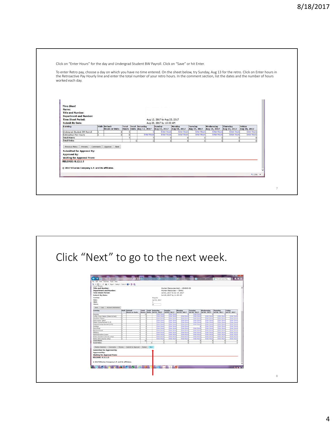| the Retroactive Pay Hourly line and enter the total number of your retro hours. In the comment section, list the dates and the number of hours |   |                       |              |                          |                              |                        |                                |                           |                                 | To enter Retro pay, choose a day on which you have no time entered. On the sheet below, try Sunday, Aug 13 for the retro. Click on Enter hours in |  |
|------------------------------------------------------------------------------------------------------------------------------------------------|---|-----------------------|--------------|--------------------------|------------------------------|------------------------|--------------------------------|---------------------------|---------------------------------|---------------------------------------------------------------------------------------------------------------------------------------------------|--|
| worked each day.                                                                                                                               |   |                       |              |                          |                              |                        |                                |                           |                                 |                                                                                                                                                   |  |
|                                                                                                                                                |   |                       |              |                          |                              |                        |                                |                           |                                 |                                                                                                                                                   |  |
|                                                                                                                                                |   |                       |              |                          |                              |                        |                                |                           |                                 |                                                                                                                                                   |  |
|                                                                                                                                                |   |                       |              |                          |                              |                        |                                |                           |                                 |                                                                                                                                                   |  |
|                                                                                                                                                |   |                       |              |                          |                              |                        |                                |                           |                                 |                                                                                                                                                   |  |
|                                                                                                                                                |   |                       |              |                          |                              |                        |                                |                           |                                 |                                                                                                                                                   |  |
| <b>Time Sheet</b><br>Name:                                                                                                                     |   |                       |              |                          |                              |                        |                                |                           |                                 |                                                                                                                                                   |  |
| <b>Title and Number:</b>                                                                                                                       |   |                       |              |                          |                              |                        |                                |                           |                                 |                                                                                                                                                   |  |
| <b>Department and Number:</b>                                                                                                                  |   |                       |              |                          |                              |                        |                                |                           |                                 |                                                                                                                                                   |  |
| <b>Time Sheet Period:</b>                                                                                                                      |   |                       |              |                          | Aug 12, 2017 to Aug 25, 2017 |                        |                                |                           |                                 |                                                                                                                                                   |  |
| <b>Submit By Date:</b>                                                                                                                         |   |                       |              |                          | Aug 28, 2017 by 10:00 AM     |                        |                                |                           |                                 |                                                                                                                                                   |  |
|                                                                                                                                                |   | Shift Default         |              | <b>Total Saturday</b>    |                              |                        |                                |                           |                                 |                                                                                                                                                   |  |
| Earning                                                                                                                                        |   | <b>Hours or Units</b> | <b>Total</b> | Hours Units Aug 12, 2017 | Sunday<br>Aug 13, 2017       | Monday<br>Aug 14, 2017 | <b>Tuesday</b><br>Aug 15, 2017 | Wednesday<br>Aug 16, 2017 | <b>Thursday</b><br>Aug 17, 2017 | Friday<br>Aug 18, 2017                                                                                                                            |  |
| Undergrad Student BW Payroll                                                                                                                   | 1 |                       | $\Omega$     |                          | <b>Enter Hours</b>           | <b>Enter Hours</b>     | <b>Enter Hours</b>             | <b>Enter Hours</b>        | <b>Enter Hours</b>              | <b>Enter Hours</b>                                                                                                                                |  |
| Retroactive Pay-Hourly                                                                                                                         |   |                       | $\Omega$     | <b>Enter Hours</b>       | <b>Enter Hours</b>           | <b>Enter Hours</b>     | <b>Enter Hours</b>             | <b>Enter Hours</b>        | <b>Enter Hours</b>              | <b>Enter Hours</b>                                                                                                                                |  |
| <b>Total Hours:</b>                                                                                                                            |   |                       |              |                          |                              |                        |                                | $\Omega$                  |                                 |                                                                                                                                                   |  |
| <b>Total Units:</b>                                                                                                                            |   |                       |              |                          |                              |                        |                                | $\Omega$                  |                                 |                                                                                                                                                   |  |
| Previous Menu Preview Comments                                                                                                                 |   | Approve<br>Next       |              |                          |                              |                        |                                |                           |                                 |                                                                                                                                                   |  |
|                                                                                                                                                |   |                       |              |                          |                              |                        |                                |                           |                                 |                                                                                                                                                   |  |
| <b>Submitted for Approval By:</b>                                                                                                              |   |                       |              |                          |                              |                        |                                |                           |                                 |                                                                                                                                                   |  |
| <b>Approved By:</b>                                                                                                                            |   |                       |              |                          |                              |                        |                                |                           |                                 |                                                                                                                                                   |  |
| <b>Waiting for Approval From:</b>                                                                                                              |   |                       |              |                          |                              |                        |                                |                           |                                 |                                                                                                                                                   |  |
| <b>RELEASE: 8.12.1.5</b>                                                                                                                       |   |                       |              |                          |                              |                        |                                |                           |                                 |                                                                                                                                                   |  |
|                                                                                                                                                |   |                       |              |                          |                              |                        |                                |                           |                                 |                                                                                                                                                   |  |
| © 2017 Ellucian Company L.P. and its affiliates.                                                                                               |   |                       |              |                          |                              |                        |                                |                           |                                 |                                                                                                                                                   |  |
|                                                                                                                                                |   |                       |              |                          |                              |                        |                                |                           |                                 |                                                                                                                                                   |  |
|                                                                                                                                                |   |                       |              |                          |                              |                        |                                |                           |                                 |                                                                                                                                                   |  |

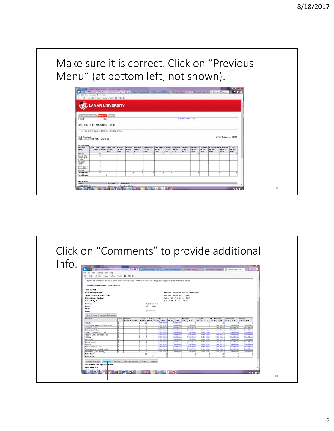## Make sure it is correct. Click on "Previous Menu" (at bottom left, not shown).

| <b>LAMAR UNIVERSITY</b><br>Personal Information Employee Parking<br>SITE MAP HELP EXIT<br><b>Search</b><br>0 <sub>0</sub>                                                                                                                                                                                                                                                                                                                                      |  |  |  |  |  |  |  |  |           |
|----------------------------------------------------------------------------------------------------------------------------------------------------------------------------------------------------------------------------------------------------------------------------------------------------------------------------------------------------------------------------------------------------------------------------------------------------------------|--|--|--|--|--|--|--|--|-----------|
|                                                                                                                                                                                                                                                                                                                                                                                                                                                                |  |  |  |  |  |  |  |  |           |
|                                                                                                                                                                                                                                                                                                                                                                                                                                                                |  |  |  |  |  |  |  |  |           |
|                                                                                                                                                                                                                                                                                                                                                                                                                                                                |  |  |  |  |  |  |  |  |           |
|                                                                                                                                                                                                                                                                                                                                                                                                                                                                |  |  |  |  |  |  |  |  |           |
|                                                                                                                                                                                                                                                                                                                                                                                                                                                                |  |  |  |  |  |  |  |  |           |
|                                                                                                                                                                                                                                                                                                                                                                                                                                                                |  |  |  |  |  |  |  |  |           |
|                                                                                                                                                                                                                                                                                                                                                                                                                                                                |  |  |  |  |  |  |  |  |           |
| Summary of Reported Time                                                                                                                                                                                                                                                                                                                                                                                                                                       |  |  |  |  |  |  |  |  |           |
|                                                                                                                                                                                                                                                                                                                                                                                                                                                                |  |  |  |  |  |  |  |  |           |
| Set your printer layout to Landscape before printing.                                                                                                                                                                                                                                                                                                                                                                                                          |  |  |  |  |  |  |  |  |           |
|                                                                                                                                                                                                                                                                                                                                                                                                                                                                |  |  |  |  |  |  |  |  |           |
| Test Employee<br>Human Resources, 30401                                                                                                                                                                                                                                                                                                                                                                                                                        |  |  |  |  |  |  |  |  |           |
| Human Resources Asst. 494845-00                                                                                                                                                                                                                                                                                                                                                                                                                                |  |  |  |  |  |  |  |  |           |
|                                                                                                                                                                                                                                                                                                                                                                                                                                                                |  |  |  |  |  |  |  |  |           |
| <b>Time Sheet</b>                                                                                                                                                                                                                                                                                                                                                                                                                                              |  |  |  |  |  |  |  |  |           |
| Shift Total<br>Total Saturday, Sunday, Monday, Tuesday, Wednesday, Thursday, Friday, Saturday, Sunday, Nonday, Tuesday, Wednesday, Thursday, Friday,<br>Earning<br>Jul 02.<br>Jul 03,<br>Jul 04.<br>Jul 05.<br>Jul 06.<br>Jul 07, Jul 08,<br>Jul 09.<br>$\frac{3ul}{2017}$<br>Dul 11,<br>Jul 12,<br>Hours thoits Jul 01.<br>Jul 13.<br>Jul 14,<br>Code<br>2017<br>2017<br>2017<br>2017<br>2017<br>2017<br>2017<br>2017<br>2017<br>2017<br>2017<br>2017<br>2017 |  |  |  |  |  |  |  |  |           |
| Regular<br>68                                                                                                                                                                                                                                                                                                                                                                                                                                                  |  |  |  |  |  |  |  |  |           |
|                                                                                                                                                                                                                                                                                                                                                                                                                                                                |  |  |  |  |  |  |  |  | Comp Time |
|                                                                                                                                                                                                                                                                                                                                                                                                                                                                |  |  |  |  |  |  |  |  |           |
| Taken (State<br>B Fed)                                                                                                                                                                                                                                                                                                                                                                                                                                         |  |  |  |  |  |  |  |  |           |
| Vacation                                                                                                                                                                                                                                                                                                                                                                                                                                                       |  |  |  |  |  |  |  |  |           |
| Taken<br>State Comp                                                                                                                                                                                                                                                                                                                                                                                                                                            |  |  |  |  |  |  |  |  |           |
| Earned (1.0)                                                                                                                                                                                                                                                                                                                                                                                                                                                   |  |  |  |  |  |  |  |  |           |
| <b>Holiday</b>                                                                                                                                                                                                                                                                                                                                                                                                                                                 |  |  |  |  |  |  |  |  |           |
| <b>Total Hours:</b><br>82<br>10<br><b>Total Units:</b>                                                                                                                                                                                                                                                                                                                                                                                                         |  |  |  |  |  |  |  |  |           |

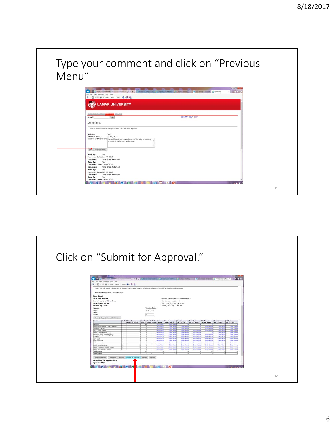Type your comment and click on "Previous Menu"

| <b>LAMAR UNIVERSITY</b><br>Personal Information Employee Parkins<br>SITE MAP HELP EXIT<br>$\Box$<br>Search<br>Comments<br>Enter or edit comments until you submit the record for approval.<br>Made By:<br>You<br>Comment Date:<br>Jul 03, 2017<br>Enter or Edit Comment: You said I could work extra hours on Thursday to make up<br>for some of my time on Wednesday.<br><b>Save Previous Menu</b><br>Made By:<br>You.<br>Comment Date: Jun 07, 2017<br>Comment:<br>Time Sheet Returned<br>Made By:<br>You<br>Comment Date: Jun 06, 2017<br>Time Sheet Returned<br>Comment:<br>Made By:<br>You<br>Comment Date: Jun 06, 2017<br>Comment:<br>Time Sheet Returned<br>Made By:<br>You | For Edit View Favorites Tools Help<br>Q - 四 - iii im + hot + Sahny + Sock + Q + 图 图 |  |
|-------------------------------------------------------------------------------------------------------------------------------------------------------------------------------------------------------------------------------------------------------------------------------------------------------------------------------------------------------------------------------------------------------------------------------------------------------------------------------------------------------------------------------------------------------------------------------------------------------------------------------------------------------------------------------------|-------------------------------------------------------------------------------------|--|
|                                                                                                                                                                                                                                                                                                                                                                                                                                                                                                                                                                                                                                                                                     |                                                                                     |  |
|                                                                                                                                                                                                                                                                                                                                                                                                                                                                                                                                                                                                                                                                                     |                                                                                     |  |
|                                                                                                                                                                                                                                                                                                                                                                                                                                                                                                                                                                                                                                                                                     |                                                                                     |  |
|                                                                                                                                                                                                                                                                                                                                                                                                                                                                                                                                                                                                                                                                                     |                                                                                     |  |
|                                                                                                                                                                                                                                                                                                                                                                                                                                                                                                                                                                                                                                                                                     |                                                                                     |  |
|                                                                                                                                                                                                                                                                                                                                                                                                                                                                                                                                                                                                                                                                                     |                                                                                     |  |
|                                                                                                                                                                                                                                                                                                                                                                                                                                                                                                                                                                                                                                                                                     |                                                                                     |  |
|                                                                                                                                                                                                                                                                                                                                                                                                                                                                                                                                                                                                                                                                                     |                                                                                     |  |
|                                                                                                                                                                                                                                                                                                                                                                                                                                                                                                                                                                                                                                                                                     |                                                                                     |  |
|                                                                                                                                                                                                                                                                                                                                                                                                                                                                                                                                                                                                                                                                                     |                                                                                     |  |
|                                                                                                                                                                                                                                                                                                                                                                                                                                                                                                                                                                                                                                                                                     |                                                                                     |  |
|                                                                                                                                                                                                                                                                                                                                                                                                                                                                                                                                                                                                                                                                                     |                                                                                     |  |
|                                                                                                                                                                                                                                                                                                                                                                                                                                                                                                                                                                                                                                                                                     |                                                                                     |  |
|                                                                                                                                                                                                                                                                                                                                                                                                                                                                                                                                                                                                                                                                                     |                                                                                     |  |
|                                                                                                                                                                                                                                                                                                                                                                                                                                                                                                                                                                                                                                                                                     | Comment Date: Jun 06, 2017                                                          |  |

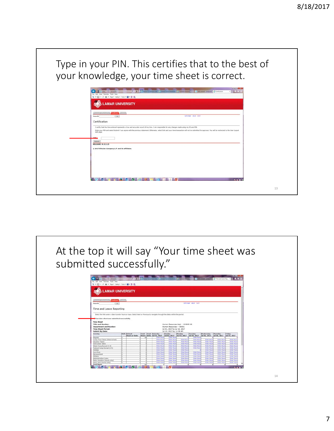Type in your PIN. This certifies that to the best of your knowledge, your time sheet is correct.  $\overline{a}$   $\overline{b}$   $\overline{c}$ .<br>N LAMAR UNIVERSITY Certification cate record of my time. I am res ble for any changes made using my 3D and PD ie, select Exit and your time tra Submit<br>RELEASE: 8.12.1.5 C 2017 Ellucian Company L.P. and its affiliates **BUT A REPORT OF BUT A REPORT OF BUT** 13

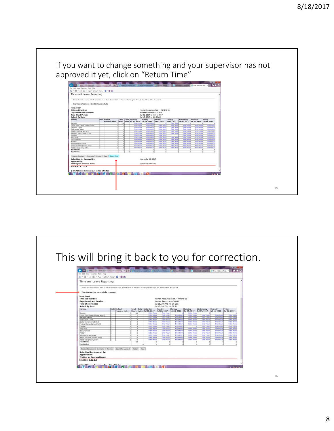